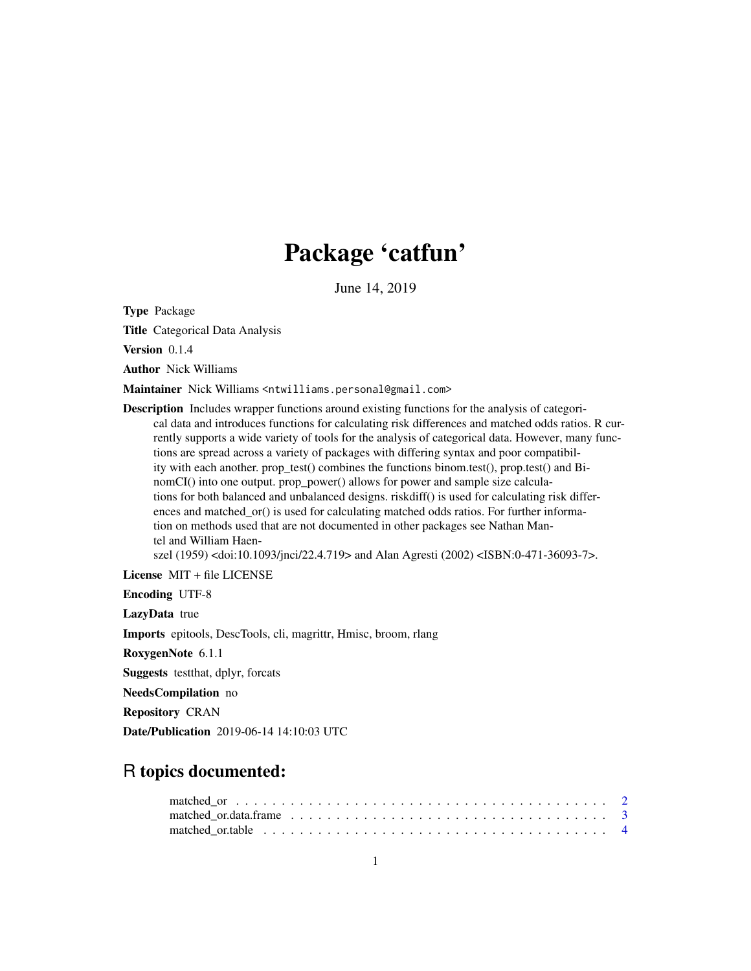# Package 'catfun'

June 14, 2019

Type Package

Title Categorical Data Analysis

Version 0.1.4

Author Nick Williams

Maintainer Nick Williams <ntwilliams.personal@gmail.com>

Description Includes wrapper functions around existing functions for the analysis of categorical data and introduces functions for calculating risk differences and matched odds ratios. R currently supports a wide variety of tools for the analysis of categorical data. However, many functions are spread across a variety of packages with differing syntax and poor compatibility with each another. prop\_test() combines the functions binom.test(), prop.test() and BinomCI() into one output. prop\_power() allows for power and sample size calculations for both balanced and unbalanced designs. riskdiff() is used for calculating risk differences and matched\_or() is used for calculating matched odds ratios. For further information on methods used that are not documented in other packages see Nathan Mantel and William Haenszel (1959) <doi:10.1093/jnci/22.4.719> and Alan Agresti (2002) <ISBN:0-471-36093-7>.

License MIT + file LICENSE

Encoding UTF-8

LazyData true

Imports epitools, DescTools, cli, magrittr, Hmisc, broom, rlang

RoxygenNote 6.1.1

Suggests testthat, dplyr, forcats

NeedsCompilation no

Repository CRAN

Date/Publication 2019-06-14 14:10:03 UTC

# R topics documented:

| matched ortable $\ldots \ldots \ldots \ldots \ldots \ldots \ldots \ldots \ldots \ldots \ldots \ldots \ldots$ |  |  |  |  |  |  |  |  |  |  |  |  |  |  |  |  |  |  |  |
|--------------------------------------------------------------------------------------------------------------|--|--|--|--|--|--|--|--|--|--|--|--|--|--|--|--|--|--|--|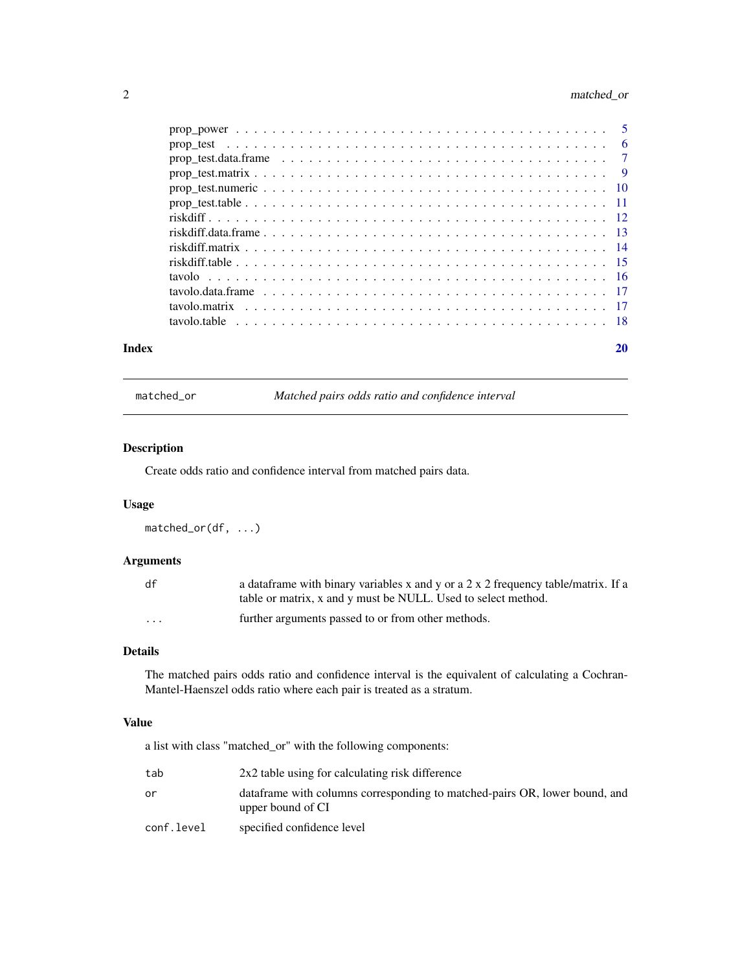# <span id="page-1-0"></span>2 matched\_or

| Index | 20 |
|-------|----|
|       |    |
|       |    |
|       |    |
|       |    |
|       |    |
|       |    |
|       |    |
|       |    |
|       |    |
|       |    |
|       |    |
|       |    |
|       |    |
|       |    |

matched\_or *Matched pairs odds ratio and confidence interval*

# Description

Create odds ratio and confidence interval from matched pairs data.

### Usage

matched\_or(df, ...)

# Arguments

| df       | a data frame with binary variables x and y or a 2 x 2 frequency table/matrix. If a<br>table or matrix, x and y must be NULL. Used to select method. |
|----------|-----------------------------------------------------------------------------------------------------------------------------------------------------|
| $\cdots$ | further arguments passed to or from other methods.                                                                                                  |

# Details

The matched pairs odds ratio and confidence interval is the equivalent of calculating a Cochran-Mantel-Haenszel odds ratio where each pair is treated as a stratum.

# Value

a list with class "matched\_or" with the following components:

| tab        | 2x2 table using for calculating risk difference                                                  |
|------------|--------------------------------------------------------------------------------------------------|
| ٥r         | data frame with columns corresponding to matched-pairs OR, lower bound, and<br>upper bound of CI |
| conf.level | specified confidence level                                                                       |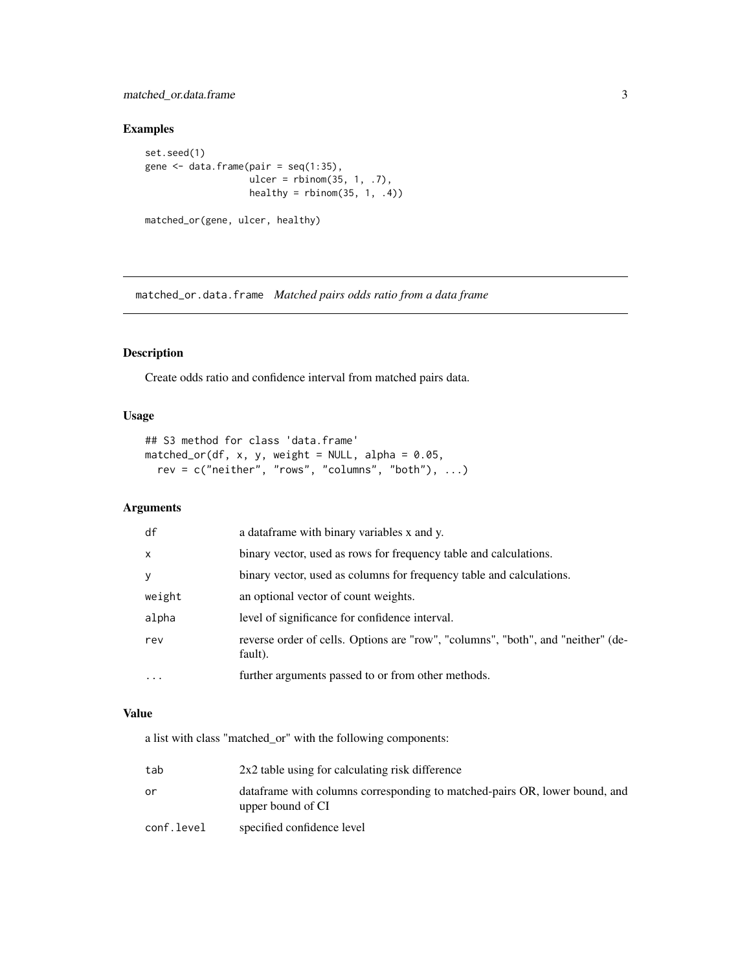# <span id="page-2-0"></span>matched\_or.data.frame 3

#### Examples

```
set.seed(1)
gene \leq data.frame(pair = seq(1:35),
                  ulcer = rbinom(35, 1, .7),
                  healthy = rbinom(35, 1, .4)
```

```
matched_or(gene, ulcer, healthy)
```
matched\_or.data.frame *Matched pairs odds ratio from a data frame*

# Description

Create odds ratio and confidence interval from matched pairs data.

# Usage

```
## S3 method for class 'data.frame'
matched_or(df, x, y, weight = NULL, alpha = 0.05,
 rev = c("neither", "rows", "columns", "both"), ...)
```
# Arguments

| df           | a data frame with binary variables x and y.                                                 |
|--------------|---------------------------------------------------------------------------------------------|
| $\mathsf{x}$ | binary vector, used as rows for frequency table and calculations.                           |
| <b>V</b>     | binary vector, used as columns for frequency table and calculations.                        |
| weight       | an optional vector of count weights.                                                        |
| alpha        | level of significance for confidence interval.                                              |
| rev          | reverse order of cells. Options are "row", "columns", "both", and "neither" (de-<br>fault). |
| $\ddots$ .   | further arguments passed to or from other methods.                                          |

#### Value

a list with class "matched\_or" with the following components:

| tab        | 2x2 table using for calculating risk difference                                                  |
|------------|--------------------------------------------------------------------------------------------------|
| ٥r         | data frame with columns corresponding to matched-pairs OR, lower bound, and<br>upper bound of CI |
| conf.level | specified confidence level                                                                       |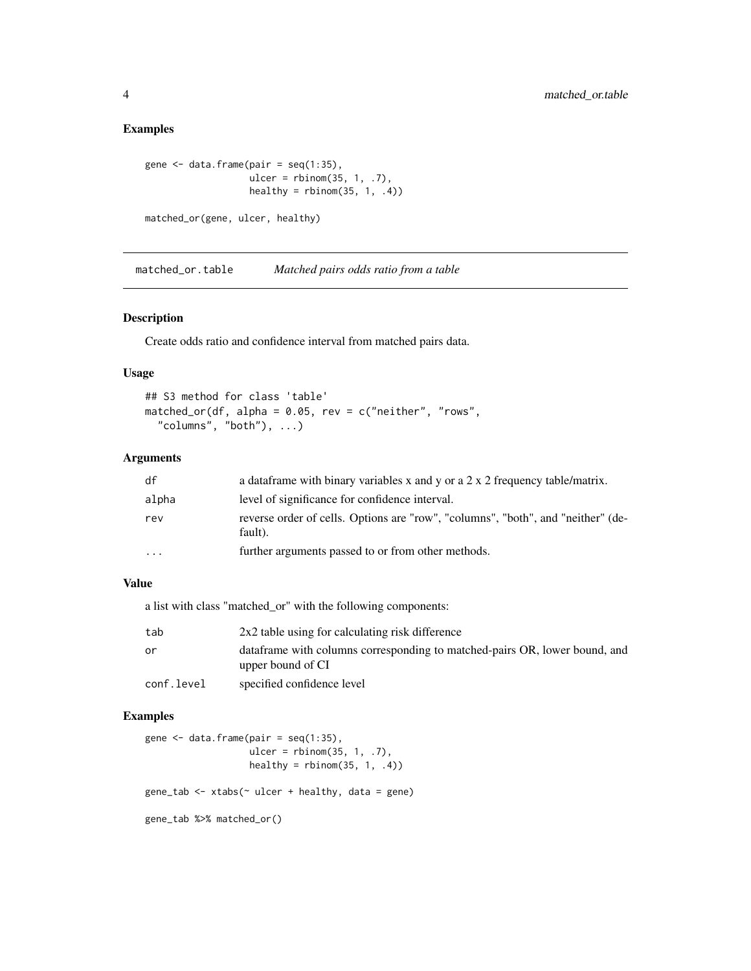```
gene \leq data.frame(pair = seq(1:35),
                  ulcer = rbinom(35, 1, .7),
                  healthy = rbinom(35, 1, .4)
```

```
matched_or(gene, ulcer, healthy)
```
matched\_or.table *Matched pairs odds ratio from a table*

#### Description

Create odds ratio and confidence interval from matched pairs data.

#### Usage

```
## S3 method for class 'table'
matched_or(df, alpha = 0.05, rev = c("neither", "rows",
  "columns", "both"), \dots)
```
# Arguments

| df                      | a data frame with binary variables x and y or a $2 \times 2$ frequency table/matrix.        |
|-------------------------|---------------------------------------------------------------------------------------------|
| alpha                   | level of significance for confidence interval.                                              |
| rev                     | reverse order of cells. Options are "row", "columns", "both", and "neither" (de-<br>fault). |
| $\cdot$ $\cdot$ $\cdot$ | further arguments passed to or from other methods.                                          |

# Value

a list with class "matched\_or" with the following components:

| tab        | 2x2 table using for calculating risk difference                                                  |
|------------|--------------------------------------------------------------------------------------------------|
| or         | data frame with columns corresponding to matched-pairs OR, lower bound, and<br>upper bound of CI |
| conf.level | specified confidence level                                                                       |

### Examples

```
gene \leq data.frame(pair = seq(1:35),
                   ulcer = rbinom(35, 1, .7),
                   healthy = rbinom(35, 1, .4)gene_tab <- xtabs(\sim ulcer + healthy, data = gene)
gene_tab %>% matched_or()
```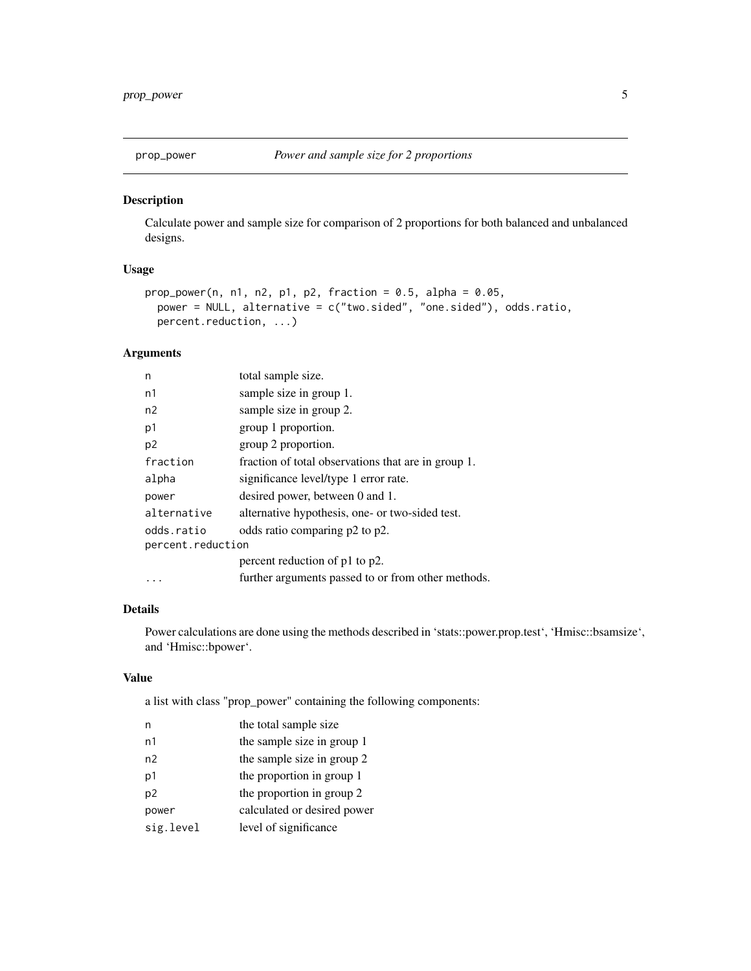<span id="page-4-0"></span>

### Description

Calculate power and sample size for comparison of 2 proportions for both balanced and unbalanced designs.

# Usage

```
prop\_power(n, n1, n2, p1, p2, fraction = 0.5, alpha = 0.05,power = NULL, alternative = c("two.sided", "one.sided"), odds.ratio,
 percent.reduction, ...)
```
# Arguments

| n                 | total sample size.                                  |  |  |  |  |
|-------------------|-----------------------------------------------------|--|--|--|--|
| n1                | sample size in group 1.                             |  |  |  |  |
| n2                | sample size in group 2.                             |  |  |  |  |
| p1                | group 1 proportion.                                 |  |  |  |  |
| p <sub>2</sub>    | group 2 proportion.                                 |  |  |  |  |
| fraction          | fraction of total observations that are in group 1. |  |  |  |  |
| alpha             | significance level/type 1 error rate.               |  |  |  |  |
| power             | desired power, between 0 and 1.                     |  |  |  |  |
| alternative       | alternative hypothesis, one- or two-sided test.     |  |  |  |  |
| odds.ratio        | odds ratio comparing p2 to p2.                      |  |  |  |  |
| percent.reduction |                                                     |  |  |  |  |
|                   | percent reduction of p1 to p2.                      |  |  |  |  |
|                   | further arguments passed to or from other methods.  |  |  |  |  |

#### Details

Power calculations are done using the methods described in 'stats::power.prop.test', 'Hmisc::bsamsize', and 'Hmisc::bpower'.

# Value

a list with class "prop\_power" containing the following components:

| n              | the total sample size       |
|----------------|-----------------------------|
| n1             | the sample size in group 1  |
| n2             | the sample size in group 2  |
| p1             | the proportion in group 1   |
| p <sub>2</sub> | the proportion in group 2   |
| power          | calculated or desired power |
| sig.level      | level of significance       |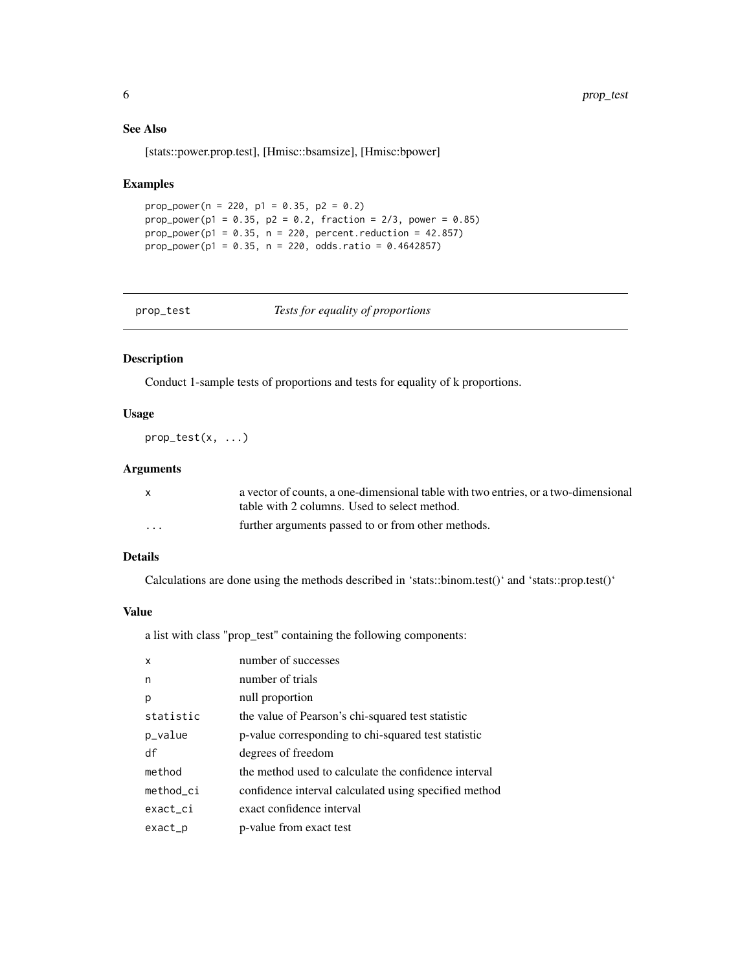#### See Also

[stats::power.prop.test], [Hmisc::bsamsize], [Hmisc:bpower]

#### Examples

```
prop_power(n = 220, p1 = 0.35, p2 = 0.2)
prop\_power(p1 = 0.35, p2 = 0.2, fraction = 2/3, power = 0.85)prop\_power(p1 = 0.35, n = 220, percent. reduction = 42.857)prop_power(p1 = 0.35, n = 220, odds.ratio = 0.4642857)
```
prop\_test *Tests for equality of proportions*

#### Description

Conduct 1-sample tests of proportions and tests for equality of k proportions.

#### Usage

 $prop\_test(x, \ldots)$ 

#### Arguments

| X        | a vector of counts, a one-dimensional table with two entries, or a two-dimensional |
|----------|------------------------------------------------------------------------------------|
|          | table with 2 columns. Used to select method.                                       |
| $\cdots$ | further arguments passed to or from other methods.                                 |

#### Details

Calculations are done using the methods described in 'stats::binom.test()' and 'stats::prop.test()'

#### Value

a list with class "prop\_test" containing the following components:

| p-value corresponding to chi-squared test statistic   |
|-------------------------------------------------------|
|                                                       |
| the method used to calculate the confidence interval  |
| confidence interval calculated using specified method |
|                                                       |
|                                                       |
|                                                       |

<span id="page-5-0"></span>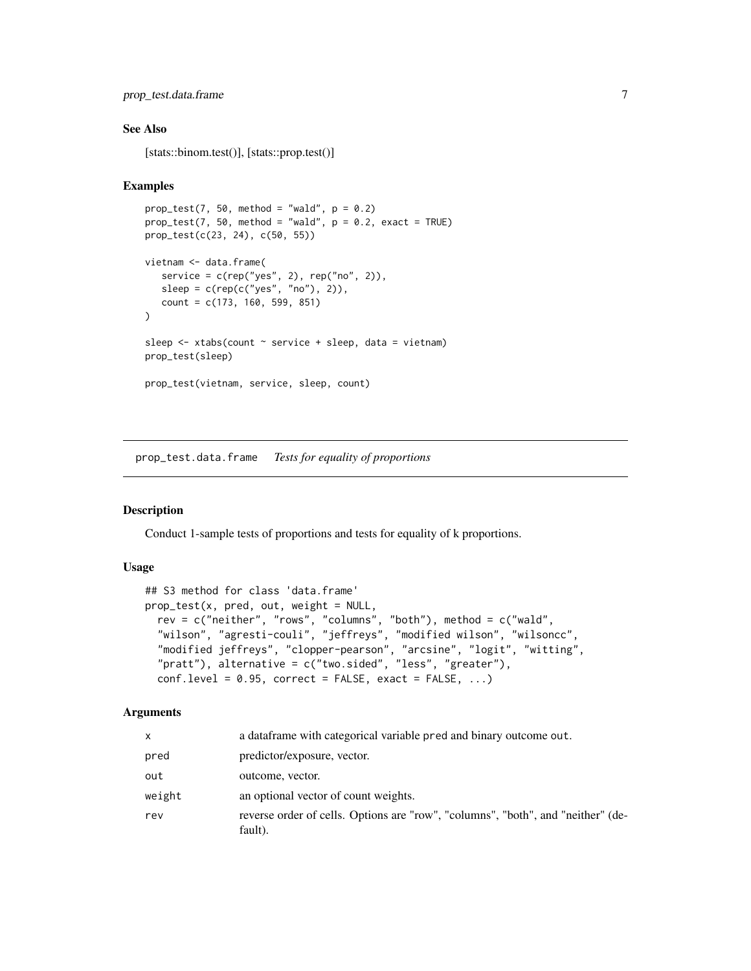# <span id="page-6-0"></span>prop\_test.data.frame 7

#### See Also

[stats::binom.test()], [stats::prop.test()]

#### Examples

```
prop_test(7, 50, method = "wald", p = 0.2)
prop\_test(7, 50, method = "wald", p = 0.2, exact = TRUE)prop_test(c(23, 24), c(50, 55))
vietnam <- data.frame(
   service = c(rep("yes", 2), rep("no", 2)),
   sleep = c(rep(c("yes", "no"), 2)),count = c(173, 160, 599, 851)
\lambdasleep <- xtabs(count ~ service + sleep, data = vietnam)
prop_test(sleep)
prop_test(vietnam, service, sleep, count)
```
prop\_test.data.frame *Tests for equality of proportions*

#### Description

Conduct 1-sample tests of proportions and tests for equality of k proportions.

#### Usage

```
## S3 method for class 'data.frame'
prop\_test(x, pred, out, weight = NULL,rev = c("neither", "rows", "columns", "both"), method = c("wald",
  "wilson", "agresti-couli", "jeffreys", "modified wilson", "wilsoncc",
  "modified jeffreys", "clopper-pearson", "arcsine", "logit", "witting",
  "pratt"), alternative = c("two.sided", "less", "greater"),
  conf. level = 0.95, correct = FALSE, exact = FALSE, ...)
```

| x      | a dataframe with categorical variable pred and binary outcome out.                          |
|--------|---------------------------------------------------------------------------------------------|
| pred   | predictor/exposure, vector.                                                                 |
| out    | outcome, vector.                                                                            |
| weight | an optional vector of count weights.                                                        |
| rev    | reverse order of cells. Options are "row", "columns", "both", and "neither" (de-<br>fault). |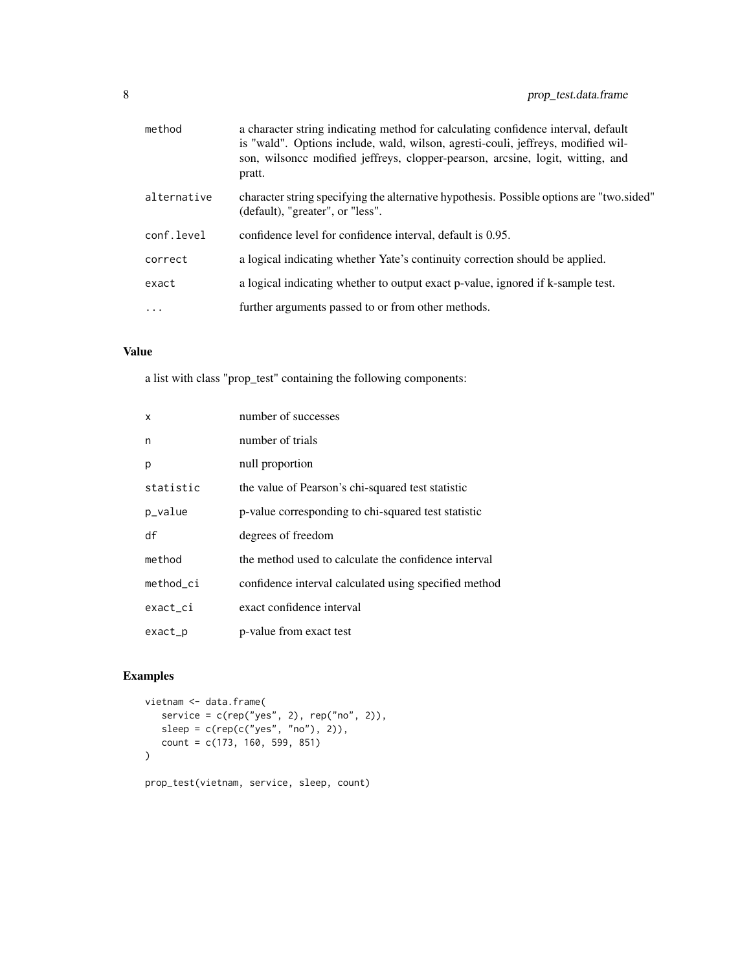| method      | a character string indicating method for calculating confidence interval, default<br>is "wald". Options include, wald, wilson, agresti-couli, jeffreys, modified wil-<br>son, wilsonce modified jeffreys, clopper-pearson, arcsine, logit, witting, and<br>pratt. |
|-------------|-------------------------------------------------------------------------------------------------------------------------------------------------------------------------------------------------------------------------------------------------------------------|
| alternative | character string specifying the alternative hypothesis. Possible options are "two.sided"<br>(default), "greater", or "less".                                                                                                                                      |
| conf.level  | confidence level for confidence interval, default is 0.95.                                                                                                                                                                                                        |
| correct     | a logical indicating whether Yate's continuity correction should be applied.                                                                                                                                                                                      |
| exact       | a logical indicating whether to output exact p-value, ignored if k-sample test.                                                                                                                                                                                   |
| $\cdots$    | further arguments passed to or from other methods.                                                                                                                                                                                                                |
|             |                                                                                                                                                                                                                                                                   |

a list with class "prop\_test" containing the following components:

| X         | number of successes                                   |
|-----------|-------------------------------------------------------|
| n         | number of trials                                      |
| p         | null proportion                                       |
| statistic | the value of Pearson's chi-squared test statistic     |
| p_value   | p-value corresponding to chi-squared test statistic   |
| df        | degrees of freedom                                    |
| method    | the method used to calculate the confidence interval  |
| method ci | confidence interval calculated using specified method |
| exact_ci  | exact confidence interval                             |
| exact_p   | p-value from exact test                               |
|           |                                                       |

# Examples

```
vietnam <- data.frame(
   service = c(rep("yes", 2), rep("no", 2)),
   sleep = c(rep(c("yes", "no"), 2)),count = c(173, 160, 599, 851)
\overline{)}prop_test(vietnam, service, sleep, count)
```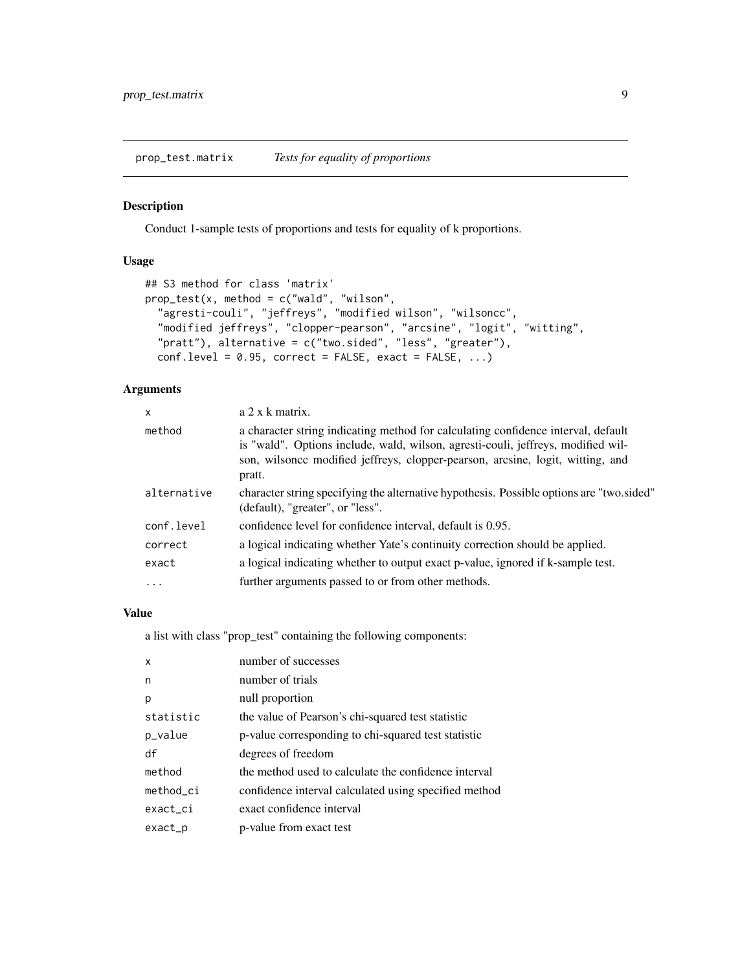<span id="page-8-0"></span>prop\_test.matrix *Tests for equality of proportions*

#### Description

Conduct 1-sample tests of proportions and tests for equality of k proportions.

#### Usage

```
## S3 method for class 'matrix'
prop_test(x, method = c("wald", "wilson",
  "agresti-couli", "jeffreys", "modified wilson", "wilsoncc",
  "modified jeffreys", "clopper-pearson", "arcsine", "logit", "witting",
  "pratt"), alternative = c("two.sided", "less", "greater"),
  conf. level = 0.95, correct = FALSE, exact = FALSE, ...)
```
# Arguments

| $\mathsf{x}$ | a 2 x k matrix.                                                                                                                                                                                                                                                   |
|--------------|-------------------------------------------------------------------------------------------------------------------------------------------------------------------------------------------------------------------------------------------------------------------|
| method       | a character string indicating method for calculating confidence interval, default<br>is "wald". Options include, wald, wilson, agresti-couli, jeffreys, modified wil-<br>son, wilsonce modified jeffreys, clopper-pearson, arcsine, logit, witting, and<br>pratt. |
| alternative  | character string specifying the alternative hypothesis. Possible options are "two sided"<br>(default), "greater", or "less".                                                                                                                                      |
| conf.level   | confidence level for confidence interval, default is 0.95.                                                                                                                                                                                                        |
| correct      | a logical indicating whether Yate's continuity correction should be applied.                                                                                                                                                                                      |
| exact        | a logical indicating whether to output exact p-value, ignored if k-sample test.                                                                                                                                                                                   |
| $\cdots$     | further arguments passed to or from other methods.                                                                                                                                                                                                                |

# Value

a list with class "prop\_test" containing the following components:

| number of successes                                   |
|-------------------------------------------------------|
| number of trials                                      |
| null proportion                                       |
| the value of Pearson's chi-squared test statistic     |
| p-value corresponding to chi-squared test statistic   |
| degrees of freedom                                    |
| the method used to calculate the confidence interval  |
| confidence interval calculated using specified method |
| exact confidence interval                             |
| p-value from exact test                               |
|                                                       |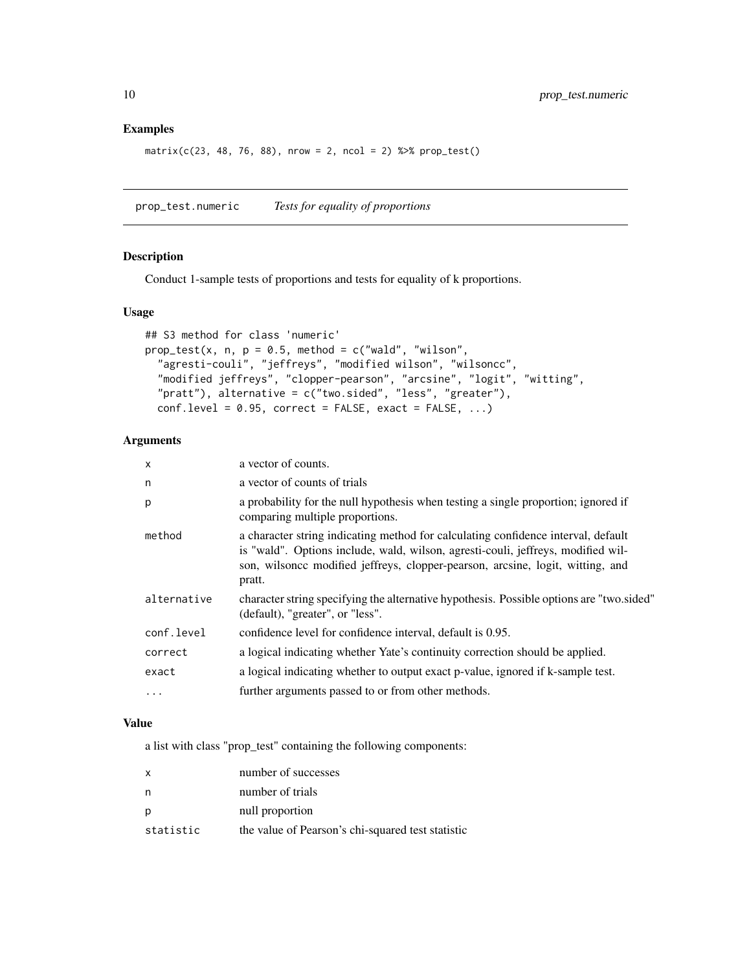$matrix(c(23, 48, 76, 88), nrow = 2, ncol = 2)$  % $\gg$  prop\_test()

prop\_test.numeric *Tests for equality of proportions*

#### Description

Conduct 1-sample tests of proportions and tests for equality of k proportions.

#### Usage

```
## S3 method for class 'numeric'
prop\_test(x, n, p = 0.5, method = c("wald", "wilson","agresti-couli", "jeffreys", "modified wilson", "wilsoncc",
  "modified jeffreys", "clopper-pearson", "arcsine", "logit", "witting",
  "pratt"), alternative = c("two.sided", "less", "greater"),
  conf. level = 0.95, correct = FALSE, exact = FALSE, ...)
```
# Arguments

| $\times$    | a vector of counts.                                                                                                                                                                                                                                               |
|-------------|-------------------------------------------------------------------------------------------------------------------------------------------------------------------------------------------------------------------------------------------------------------------|
| n           | a vector of counts of trials                                                                                                                                                                                                                                      |
| p           | a probability for the null hypothesis when testing a single proportion; ignored if<br>comparing multiple proportions.                                                                                                                                             |
| method      | a character string indicating method for calculating confidence interval, default<br>is "wald". Options include, wald, wilson, agresti-couli, jeffreys, modified wil-<br>son, wilsonce modified jeffreys, clopper-pearson, arcsine, logit, witting, and<br>pratt. |
| alternative | character string specifying the alternative hypothesis. Possible options are "two.sided"<br>(default), "greater", or "less".                                                                                                                                      |
| conf.level  | confidence level for confidence interval, default is 0.95.                                                                                                                                                                                                        |
| correct     | a logical indicating whether Yate's continuity correction should be applied.                                                                                                                                                                                      |
| exact       | a logical indicating whether to output exact p-value, ignored if k-sample test.                                                                                                                                                                                   |
| $\cdots$    | further arguments passed to or from other methods.                                                                                                                                                                                                                |

#### Value

a list with class "prop\_test" containing the following components:

| $\mathsf{x}$ | number of successes                               |
|--------------|---------------------------------------------------|
| n            | number of trials                                  |
| p            | null proportion                                   |
| statistic    | the value of Pearson's chi-squared test statistic |

<span id="page-9-0"></span>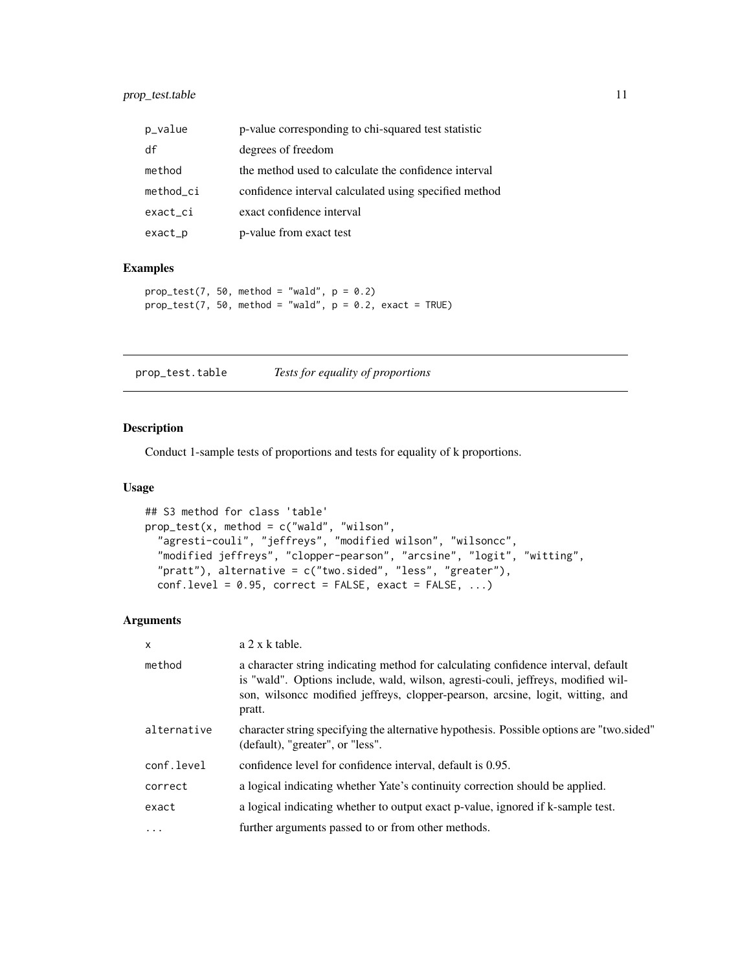<span id="page-10-0"></span>

| p_value   | p-value corresponding to chi-squared test statistic   |
|-----------|-------------------------------------------------------|
| df        | degrees of freedom                                    |
| method    | the method used to calculate the confidence interval  |
| method ci | confidence interval calculated using specified method |
| exact_ci  | exact confidence interval                             |
| exact_p   | p-value from exact test                               |

```
prop\_test(7, 50, method = "wald", p = 0.2)prop\_test(7, 50, method = "wald", p = 0.2, exact = TRUE)
```
prop\_test.table *Tests for equality of proportions*

#### Description

Conduct 1-sample tests of proportions and tests for equality of k proportions.

#### Usage

```
## S3 method for class 'table'
prop_test(x, method = c("wald", "wilson",
  "agresti-couli", "jeffreys", "modified wilson", "wilsoncc",
  "modified jeffreys", "clopper-pearson", "arcsine", "logit", "witting",
  "pratt"), alternative = c("two.sided", "less", "greater"),
  conf. level = 0.95, correct = FALSE, exact = FALSE, ...)
```

| $a$ 2 x k table.                                                                                                                                                                                                                                                  |
|-------------------------------------------------------------------------------------------------------------------------------------------------------------------------------------------------------------------------------------------------------------------|
| a character string indicating method for calculating confidence interval, default<br>is "wald". Options include, wald, wilson, agresti-couli, jeffreys, modified wil-<br>son, wilsonce modified jeffreys, clopper-pearson, arcsine, logit, witting, and<br>pratt. |
| character string specifying the alternative hypothesis. Possible options are "two sided"<br>(default), "greater", or "less".                                                                                                                                      |
| confidence level for confidence interval, default is 0.95.                                                                                                                                                                                                        |
| a logical indicating whether Yate's continuity correction should be applied.                                                                                                                                                                                      |
| a logical indicating whether to output exact p-value, ignored if k-sample test.                                                                                                                                                                                   |
| further arguments passed to or from other methods.                                                                                                                                                                                                                |
|                                                                                                                                                                                                                                                                   |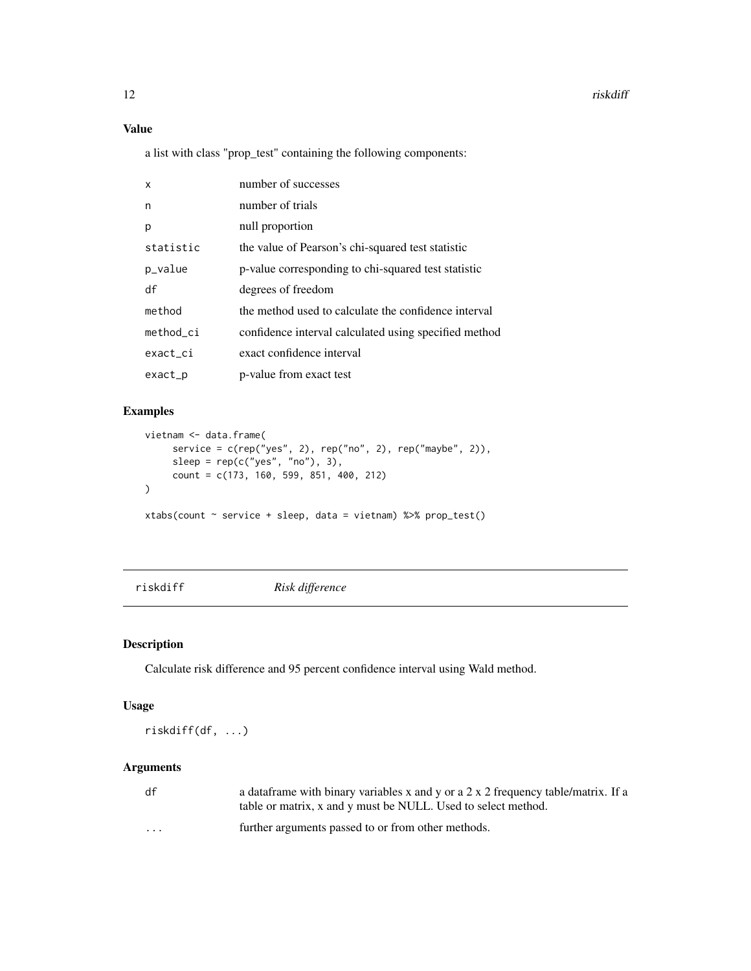<span id="page-11-0"></span>a list with class "prop\_test" containing the following components:

| $\mathsf{x}$ | number of successes                                   |
|--------------|-------------------------------------------------------|
| n            | number of trials                                      |
| p            | null proportion                                       |
| statistic    | the value of Pearson's chi-squared test statistic     |
| p_value      | p-value corresponding to chi-squared test statistic   |
| df           | degrees of freedom                                    |
| method       | the method used to calculate the confidence interval  |
| method ci    | confidence interval calculated using specified method |
| exact_ci     | exact confidence interval                             |
| exact        | p-value from exact test                               |

# Examples

```
vietnam <- data.frame(
     service = c(rep("yes", 2), rep("no", 2), rep("maybe", 2)),
     sleep = rep(c("yes", "no"), 3),count = c(173, 160, 599, 851, 400, 212)
\mathcal{L}xtabs(count ~ service + sleep, data = vietnam) %>% prop_test()
```
riskdiff *Risk difference*

# Description

Calculate risk difference and 95 percent confidence interval using Wald method.

# Usage

riskdiff(df, ...)

| df       | a data frame with binary variables x and y or a 2 x 2 frequency table/matrix. If a<br>table or matrix, x and y must be NULL. Used to select method. |
|----------|-----------------------------------------------------------------------------------------------------------------------------------------------------|
| $\cdots$ | further arguments passed to or from other methods.                                                                                                  |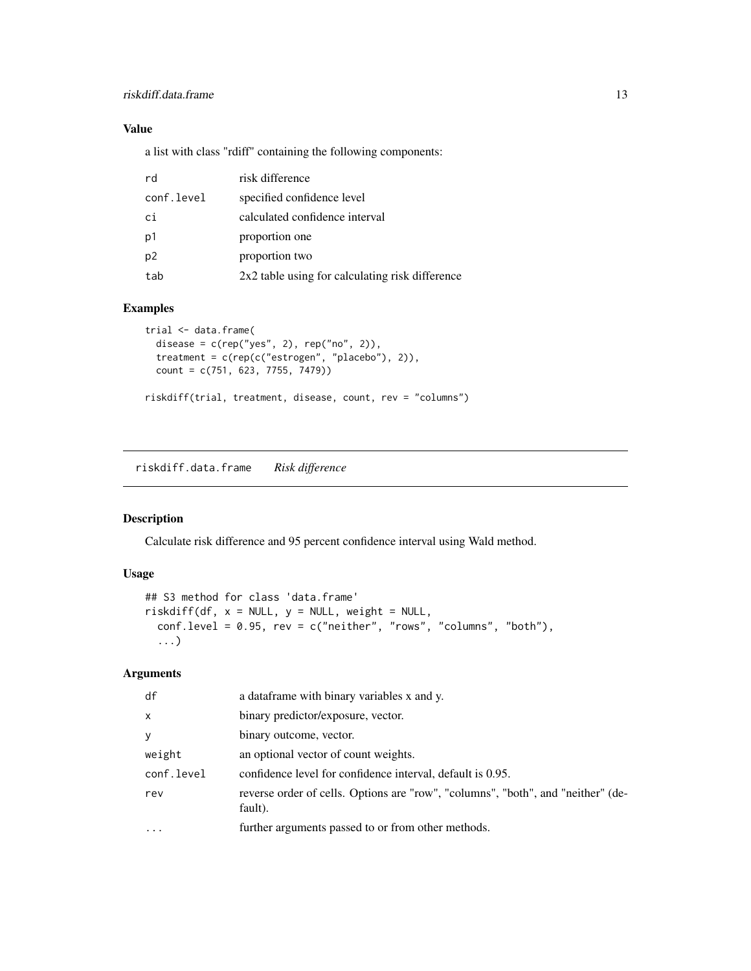<span id="page-12-0"></span>a list with class "rdiff" containing the following components:

| rd             | risk difference                                 |
|----------------|-------------------------------------------------|
| conf.level     | specified confidence level                      |
| ci             | calculated confidence interval                  |
| p1             | proportion one                                  |
| p <sub>2</sub> | proportion two                                  |
| tab            | 2x2 table using for calculating risk difference |

#### Examples

```
trial <- data.frame(
  disease = c(rep("yes", 2), rep("no", 2)),
  treatment = c(rep(c("estrogen", "placebo"), 2)),
  count = c(751, 623, 7755, 7479))
riskdiff(trial, treatment, disease, count, rev = "columns")
```
riskdiff.data.frame *Risk difference*

# Description

Calculate risk difference and 95 percent confidence interval using Wald method.

# Usage

```
## S3 method for class 'data.frame'
riskdiff(df, x = NULL, y = NULL, weight = NULL,
  conf.level = 0.95, rev = c("neither", "rows", "columns", "both"),
  ...)
```

| df           | a data frame with binary variables x and y.                                                 |
|--------------|---------------------------------------------------------------------------------------------|
| $\mathsf{x}$ | binary predictor/exposure, vector.                                                          |
| y            | binary outcome, vector.                                                                     |
| weight       | an optional vector of count weights.                                                        |
| conf.level   | confidence level for confidence interval, default is 0.95.                                  |
| rev          | reverse order of cells. Options are "row", "columns", "both", and "neither" (de-<br>fault). |
| $\ddotsc$    | further arguments passed to or from other methods.                                          |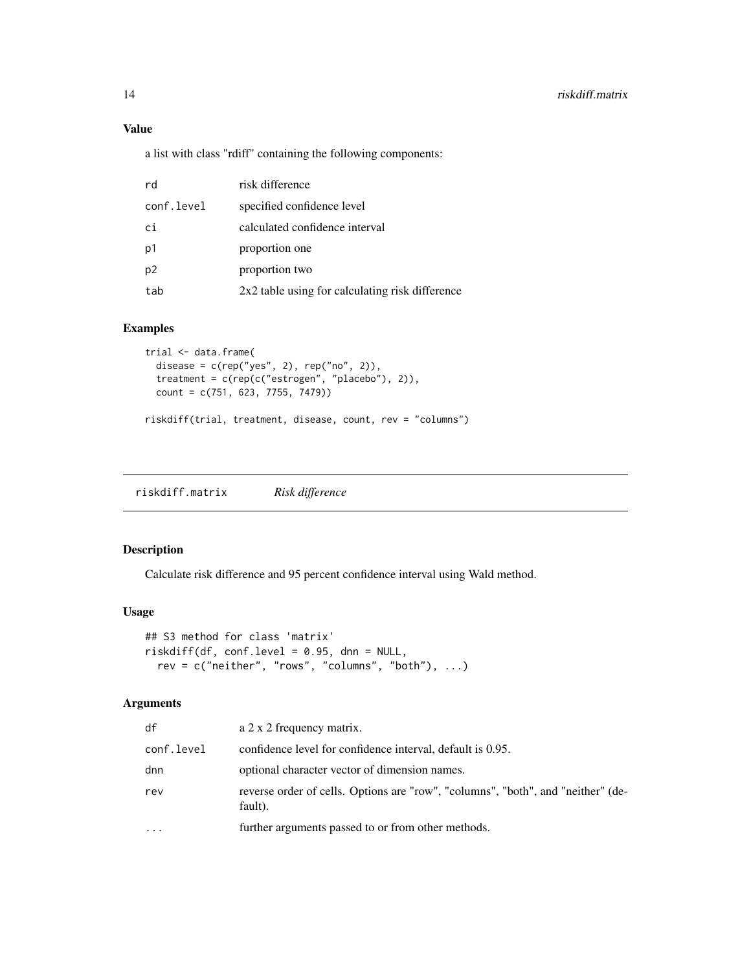a list with class "rdiff" containing the following components:

| rd             | risk difference                                 |
|----------------|-------------------------------------------------|
| conf.level     | specified confidence level                      |
| ci             | calculated confidence interval                  |
| p1             | proportion one                                  |
| p <sub>2</sub> | proportion two                                  |
| tab            | 2x2 table using for calculating risk difference |

# Examples

```
trial <- data.frame(
  disease = c(rep("yes", 2), rep("no", 2)),treatment = c(rep(c("estrogen", "placebo"), 2)),
 count = c(751, 623, 7755, 7479))
riskdiff(trial, treatment, disease, count, rev = "columns")
```
riskdiff.matrix *Risk difference*

# Description

Calculate risk difference and 95 percent confidence interval using Wald method.

#### Usage

```
## S3 method for class 'matrix'
riskdiff(df, conf.level = 0.95, dnn = NULL,
  rev = c("neither", "rows", "columns", "both"), ...)
```

| df         | a 2 x 2 frequency matrix.                                                                   |
|------------|---------------------------------------------------------------------------------------------|
| conf.level | confidence level for confidence interval, default is 0.95.                                  |
| dnn        | optional character vector of dimension names.                                               |
| rev        | reverse order of cells. Options are "row", "columns", "both", and "neither" (de-<br>fault). |
| .          | further arguments passed to or from other methods.                                          |

<span id="page-13-0"></span>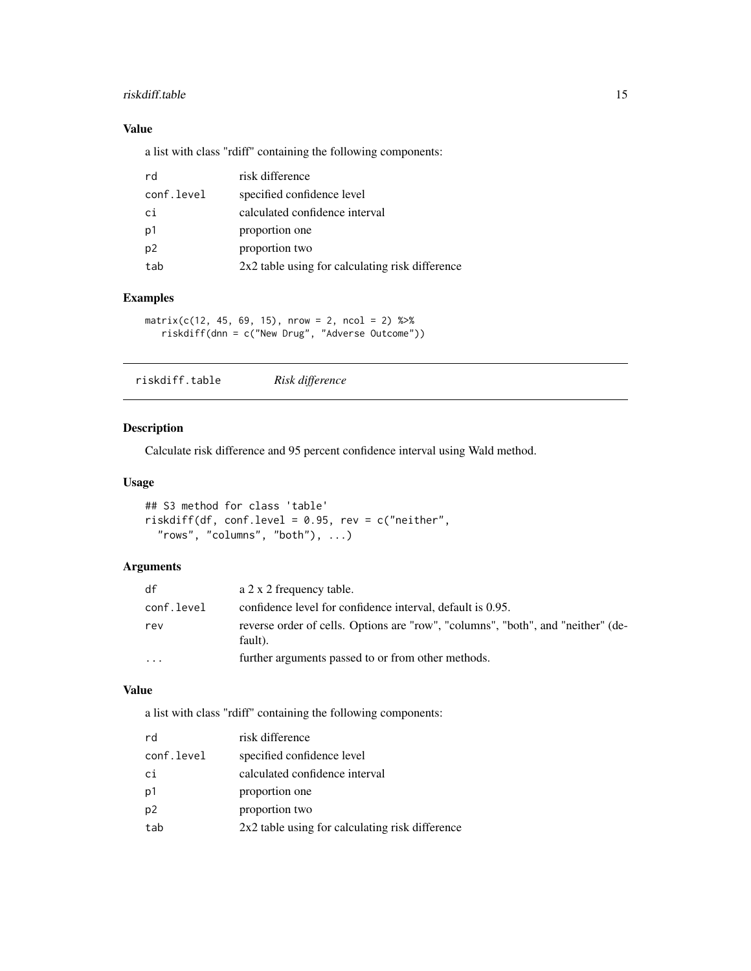#### <span id="page-14-0"></span>riskdiff.table 15

# Value

a list with class "rdiff" containing the following components:

| rd             | risk difference                                 |
|----------------|-------------------------------------------------|
| conf.level     | specified confidence level                      |
| ci             | calculated confidence interval                  |
| p1             | proportion one                                  |
| p <sub>2</sub> | proportion two                                  |
| tab            | 2x2 table using for calculating risk difference |

# Examples

 $matrix(c(12, 45, 69, 15), nrow = 2, ncol = 2)$  %>% riskdiff(dnn = c("New Drug", "Adverse Outcome"))

| riskdiff.table | Risk difference |
|----------------|-----------------|
|----------------|-----------------|

# Description

Calculate risk difference and 95 percent confidence interval using Wald method.

#### Usage

```
## S3 method for class 'table'
riskdiff(df, conf.level = 0.95, rev = c("neither",
  "rows", "columns", "both"), ...)
```
# Arguments

| df                      | a 2 x 2 frequency table.                                                                    |
|-------------------------|---------------------------------------------------------------------------------------------|
| conf.level              | confidence level for confidence interval, default is 0.95.                                  |
| rev                     | reverse order of cells. Options are "row", "columns", "both", and "neither" (de-<br>fault). |
| $\cdot$ $\cdot$ $\cdot$ | further arguments passed to or from other methods.                                          |

#### Value

a list with class "rdiff" containing the following components:

| rd             | risk difference                                 |
|----------------|-------------------------------------------------|
| conf.level     | specified confidence level                      |
| сi             | calculated confidence interval                  |
| p1             | proportion one                                  |
| p <sub>2</sub> | proportion two                                  |
| tab            | 2x2 table using for calculating risk difference |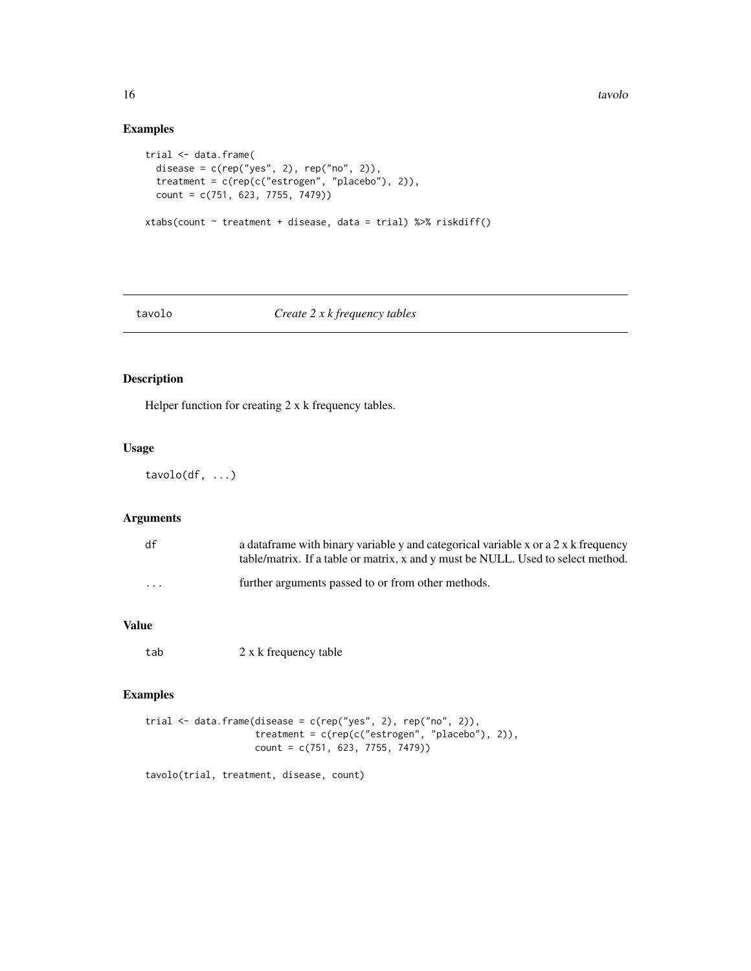```
trial <- data.frame(
  disease = c(rep("yes", 2), rep("no", 2)),
  treatment = c(rep(c("estrogen", "placebo"), 2)),
  count = c(751, 623, 7755, 7479))
xtabs(count ~ treatment + disease, data = trial) %>% riskdiff()
```
#### tavolo *Create 2 x k frequency tables*

# Description

Helper function for creating 2 x k frequency tables.

#### Usage

 $tavolo(df, ...)$ 

# Arguments

| df       | a data frame with binary variable y and categorical variable x or a $2 \times k$ frequency<br>table/matrix. If a table or matrix, x and y must be NULL. Used to select method. |
|----------|--------------------------------------------------------------------------------------------------------------------------------------------------------------------------------|
| $\cdots$ | further arguments passed to or from other methods.                                                                                                                             |

#### Value

tab 2 x k frequency table

# Examples

```
trial <- data.frame(disease = c(rep("yes", 2), rep("no", 2)),
                    treatment = c(rep(c("estrogen", "placebo"), 2)),
                    count = c(751, 623, 7755, 7479))
```
tavolo(trial, treatment, disease, count)

<span id="page-15-0"></span>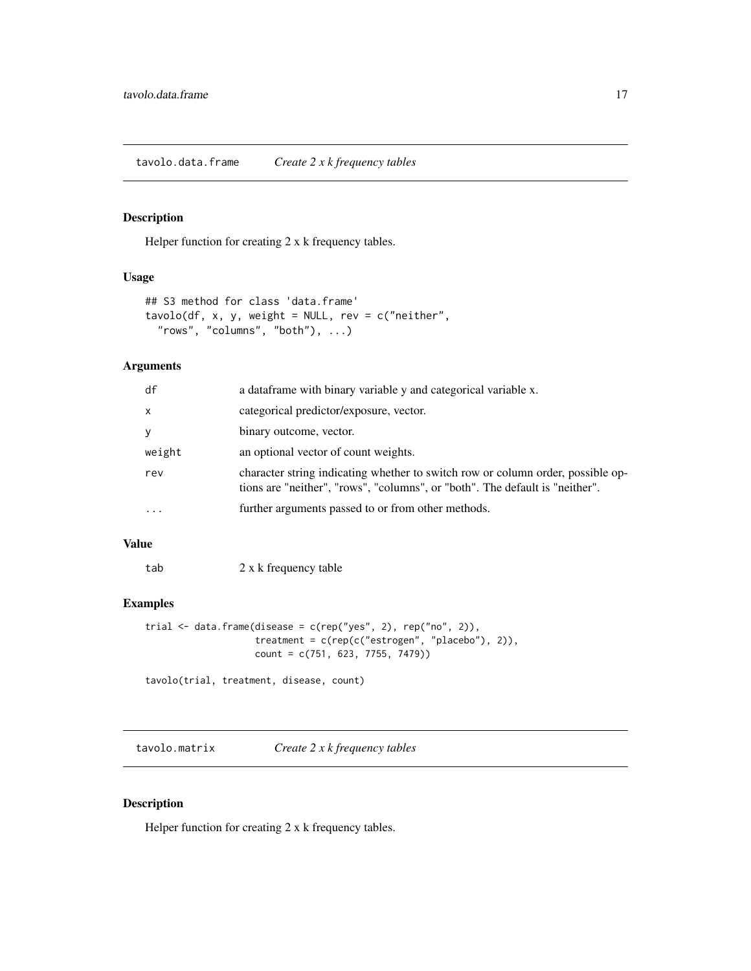<span id="page-16-0"></span>tavolo.data.frame *Create 2 x k frequency tables*

#### Description

Helper function for creating 2 x k frequency tables.

# Usage

```
## S3 method for class 'data.frame'
tavolo(df, x, y, weight = NULL, rev = c("neither","rows", "columns", "both"), ...)
```
#### Arguments

| df           | a dataframe with binary variable y and categorical variable x.                                                                                                  |
|--------------|-----------------------------------------------------------------------------------------------------------------------------------------------------------------|
| $\mathsf{x}$ | categorical predictor/exposure, vector.                                                                                                                         |
| У            | binary outcome, vector.                                                                                                                                         |
| weight       | an optional vector of count weights.                                                                                                                            |
| rev          | character string indicating whether to switch row or column order, possible op-<br>tions are "neither", "rows", "columns", or "both". The default is "neither". |
| $\cdots$     | further arguments passed to or from other methods.                                                                                                              |

#### Value

tab 2 x k frequency table

# Examples

```
trial \leq data.frame(disease = c(rep("yes", 2), rep("no", 2)),
                    treatment = c(rep(c("estrogen", "placebo"), 2)),
                    count = c(751, 623, 7755, 7479))
```
tavolo(trial, treatment, disease, count)

tavolo.matrix *Create 2 x k frequency tables*

# Description

Helper function for creating 2 x k frequency tables.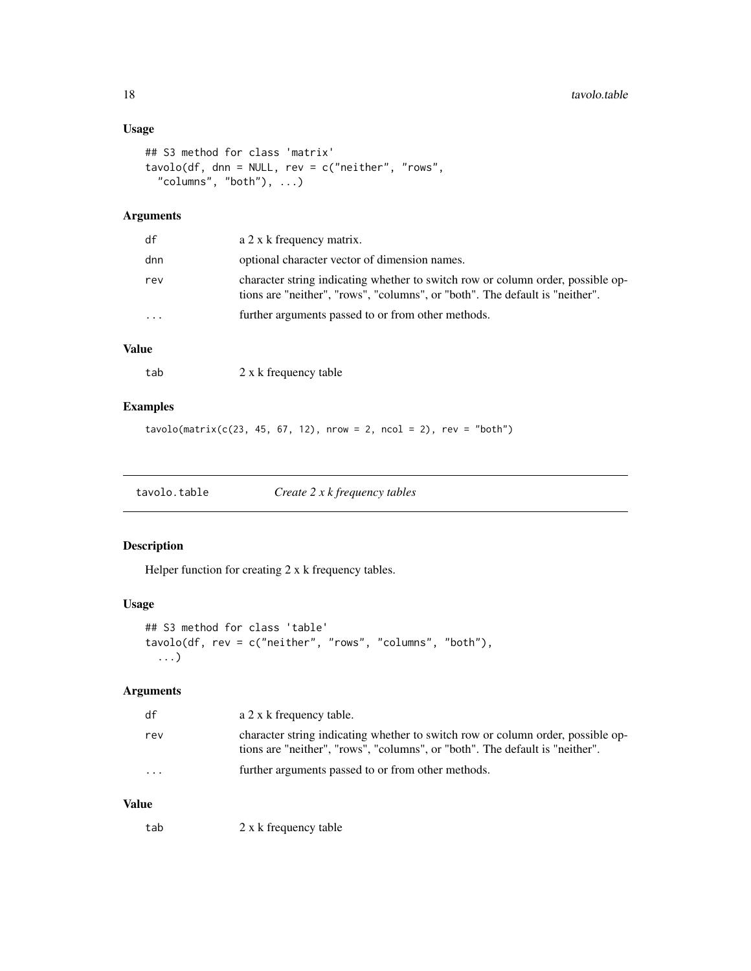# <span id="page-17-0"></span>Usage

```
## S3 method for class 'matrix'
tavolo(df, dnn = NULL, rev = c("neither", "rows",
  "columns", "both"), ...)
```
# Arguments

| df        | a 2 x k frequency matrix.                                                                                                                                       |
|-----------|-----------------------------------------------------------------------------------------------------------------------------------------------------------------|
| dnn       | optional character vector of dimension names.                                                                                                                   |
| rev       | character string indicating whether to switch row or column order, possible op-<br>tions are "neither", "rows", "columns", or "both". The default is "neither". |
| $\ddotsc$ | further arguments passed to or from other methods.                                                                                                              |
|           |                                                                                                                                                                 |

# Value

| 2 x k frequency table |
|-----------------------|

#### Examples

```
tavolo(matrix(c(23, 45, 67, 12), nrow = 2, ncol = 2), rev = "both")
```

| tavolo.table | Create $2 x k frequency$ tables |
|--------------|---------------------------------|
|--------------|---------------------------------|

# Description

Helper function for creating 2 x k frequency tables.

#### Usage

```
## S3 method for class 'table'
tavolo(df, rev = c("neither", "rows", "columns", "both"),
  ...)
```
#### Arguments

| df       | a 2 x k frequency table.                                                                                                                                        |
|----------|-----------------------------------------------------------------------------------------------------------------------------------------------------------------|
| rev      | character string indicating whether to switch row or column order, possible op-<br>tions are "neither", "rows", "columns", or "both". The default is "neither". |
| $\cdots$ | further arguments passed to or from other methods.                                                                                                              |

# Value

tab 2 x k frequency table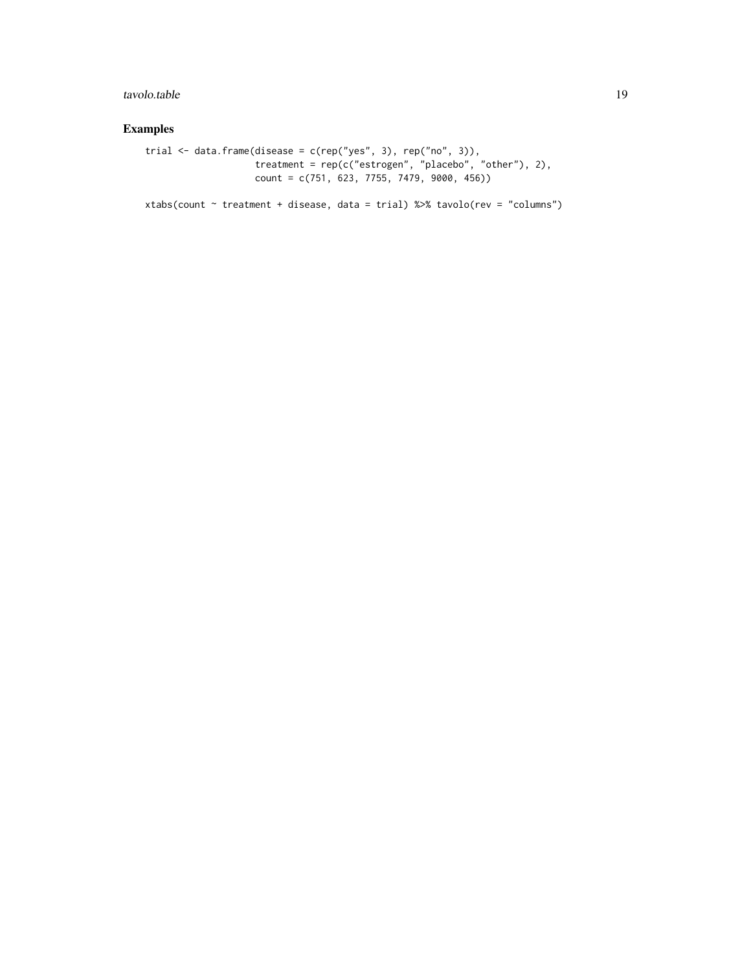# tavolo.table 19

# Examples

```
trial \leq data.frame(disease = c(rep("yes", 3), rep("no", 3)),
                    treatment = rep(c("estrogen", "placebo", "other"), 2),
                   count = c(751, 623, 7755, 7479, 9000, 456))
```
xtabs(count ~ treatment + disease, data = trial) %>% tavolo(rev = "columns")